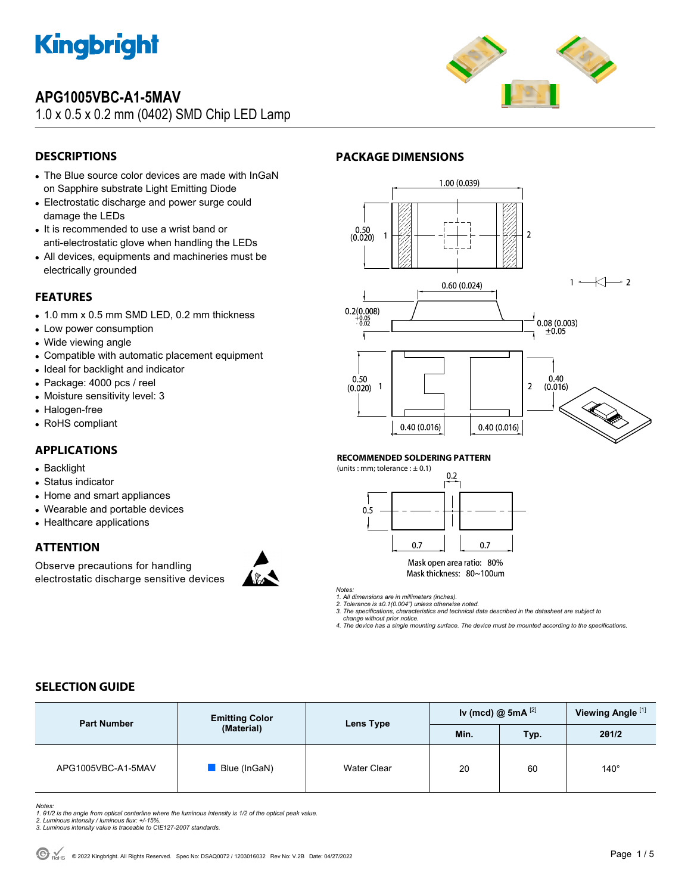

## **APG1005VBC-A1-5MAV**

1.0 x 0.5 x 0.2 mm (0402) SMD Chip LED Lamp



## **DESCRIPTIONS**

- The Blue source color devices are made with InGaN on Sapphire substrate Light Emitting Diode
- Electrostatic discharge and power surge could damage the LEDs
- It is recommended to use a wrist band or anti-electrostatic glove when handling the LEDs
- All devices, equipments and machineries must be electrically grounded

### **FEATURES**

- 1.0 mm x 0.5 mm SMD LED, 0.2 mm thickness
- Low power consumption
- Wide viewing angle
- Compatible with automatic placement equipment
- Ideal for backlight and indicator
- Package: 4000 pcs / reel
- Moisture sensitivity level: 3
- Halogen-free
- RoHS compliant

## **APPLICATIONS**

- Backlight
- Status indicator
- Home and smart appliances
- Wearable and portable devices
- Healthcare applications

### **ATTENTION**

Observe precautions for handling electrostatic discharge sensitive devices





#### **RECOMMENDED SOLDERING PATTERN**

**PACKAGE DIMENSIONS** 

(units : mm; tolerance  $: \pm 0.1$ )



Mask open area ratio: 80% Mask thickness: 80~100um

*Notes:* 

*1. All dimensions are in millimeters (inches). 2. Tolerance is ±0.1(0.004") unless otherwise noted.* 

*3. The specifications, characteristics and technical data described in the datasheet are subject to* 

 *change without prior notice. 4. The device has a single mounting surface. The device must be mounted according to the specifications.* 

## **SELECTION GUIDE**

| <b>Part Number</b> | <b>Emitting Color</b> |             | Iv (mcd) $@$ 5mA $^{[2]}$<br>Lens Type |      |             | Viewing Angle <sup>[1]</sup> |  |
|--------------------|-----------------------|-------------|----------------------------------------|------|-------------|------------------------------|--|
|                    | (Material)            |             | Min.                                   | Typ. | 201/2       |                              |  |
| APG1005VBC-A1-5MAV | Blue (InGaN)          | Water Clear | 20                                     | 60   | $140^\circ$ |                              |  |

*Notes:* 

*1. θ1/2 is the angle from optical centerline where the luminous intensity is 1/2 of the optical peak value. 2. Luminous intensity / luminous flux: +/-15%.* 

*3. Luminous intensity value is traceable to CIE127-2007 standards.*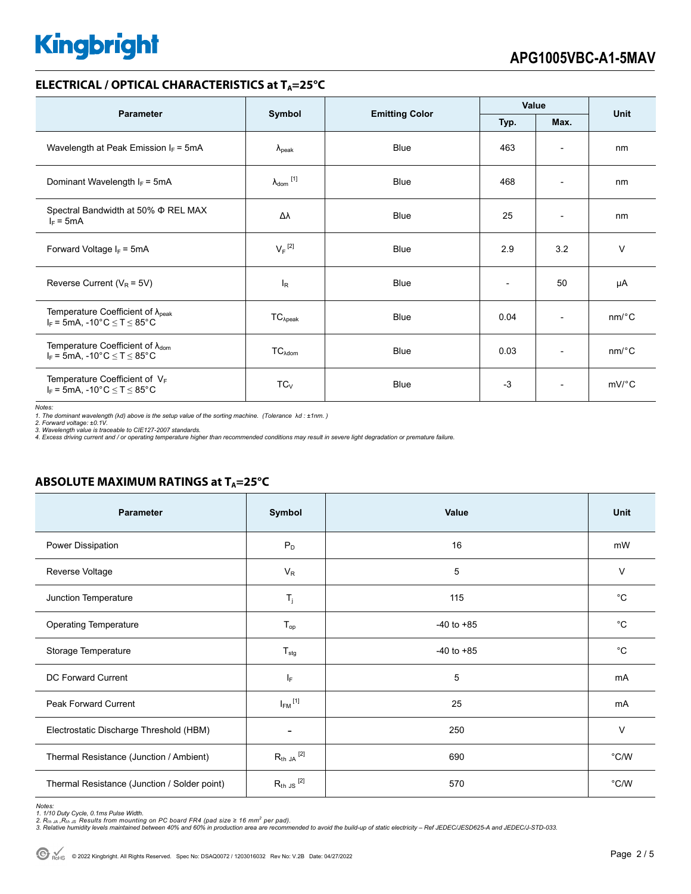## **ELECTRICAL / OPTICAL CHARACTERISTICS at T<sub>A</sub>=25°C**

| <b>Parameter</b>                                                                                  |                                |                       | Value                    |                          | <b>Unit</b>           |  |
|---------------------------------------------------------------------------------------------------|--------------------------------|-----------------------|--------------------------|--------------------------|-----------------------|--|
|                                                                                                   | Symbol                         | <b>Emitting Color</b> | Typ.                     | Max.                     |                       |  |
| Wavelength at Peak Emission $I_F = 5mA$                                                           | $\lambda_{\rm peak}$           | <b>Blue</b>           | 463                      | $\overline{\phantom{a}}$ | nm                    |  |
| Dominant Wavelength $I_F = 5mA$                                                                   | $\lambda_{dom}$ <sup>[1]</sup> | <b>Blue</b>           | 468                      | $\overline{\phantom{a}}$ | nm                    |  |
| Spectral Bandwidth at 50% $\Phi$ REL MAX<br>$I_F = 5mA$                                           | Δλ                             | <b>Blue</b>           | 25                       | $\overline{\phantom{a}}$ | nm                    |  |
| Forward Voltage $I_F$ = 5mA                                                                       | $V_F$ <sup>[2]</sup>           | <b>Blue</b>           | 2.9                      | 3.2                      | $\vee$                |  |
| Reverse Current ( $V_R$ = 5V)                                                                     | $I_R$                          | Blue                  | $\overline{\phantom{0}}$ | 50                       | μA                    |  |
| Temperature Coefficient of $\lambda_{peak}$<br>$I_F$ = 5mA, -10°C $\leq$ T $\leq$ 85°C            | $TC_{\lambda peak}$            | <b>Blue</b>           | 0.04                     | $\overline{\phantom{a}}$ | $nm$ /°C              |  |
| Temperature Coefficient of $\lambda_{\text{dom}}$<br>$I_F$ = 5mA, -10°C $\leq$ T $\leq$ 85°C      | $TC_{\lambda dom}$             | Blue                  | 0.03                     | $\overline{\phantom{a}}$ | $nm$ <sup>o</sup> $C$ |  |
| Temperature Coefficient of $V_F$<br>$I_F$ = 5mA, -10 $^{\circ}$ C $\leq$ T $\leq$ 85 $^{\circ}$ C | $TC_{V}$                       | <b>Blue</b>           | $-3$                     | $\overline{\phantom{a}}$ | mV/°C                 |  |

*Notes:* 

1. The dominant wavelength (λd) above is the setup value of the sorting machine. (Tolerance λd : ±1nm. )<br>2. Forward voltage: ±0.1V.<br>3. Wavelength value is traceable to CIE127-2007 standards.<br>4. Excess driving current and

### **ABSOLUTE MAXIMUM RATINGS at T<sub>A</sub>=25°C**

| Parameter                                    | Symbol                   | Value          | Unit         |
|----------------------------------------------|--------------------------|----------------|--------------|
| Power Dissipation                            | $P_D$                    | 16             | mW           |
| Reverse Voltage                              | $V_R$                    | 5              | $\vee$       |
| Junction Temperature                         | $T_j$                    | 115            | $^{\circ}$ C |
| <b>Operating Temperature</b>                 | $T_{op}$                 | $-40$ to $+85$ | $^{\circ}C$  |
| Storage Temperature                          | $T_{\text{stg}}$         | $-40$ to $+85$ | $^{\circ}C$  |
| <b>DC Forward Current</b>                    | $I_F$                    | 5              | mA           |
| Peak Forward Current                         | $I_{FM}$ <sup>[1]</sup>  | 25             | mA           |
| Electrostatic Discharge Threshold (HBM)      | $\overline{\phantom{0}}$ | 250            | $\vee$       |
| Thermal Resistance (Junction / Ambient)      | $R_{th}$ JA $^{[2]}$     | 690            | °C/W         |
| Thermal Resistance (Junction / Solder point) | $R_{th}$ JS $^{[2]}$     | 570            | °C/W         |

Notes:<br>1. 1/10 Duty Cycle, 0.1ms Pulse Width.<br>2. R<sub>th JA</sub> ,R<sub>th JS</sub> Results from mounting on PC board FR4 (pad size ≥ 16 mm<sup>2</sup> per pad).<br>3. Relative humidity levels maintained between 40% and 60% in production area are re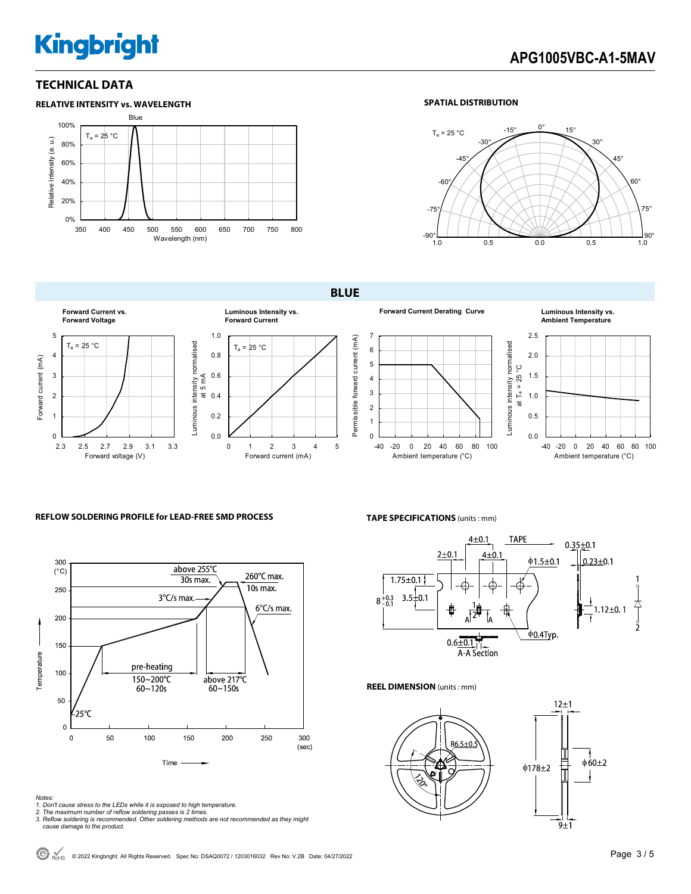## **TECHNICAL DATA**



#### **SPATIAL DISTRIBUTION**



**BLUE** 



**Forward Current Derating Curve Luminous Intensity vs.** 



### **Ambient Temperature**



#### **REFLOW SOLDERING PROFILE for LEAD-FREE SMD PROCESS <b>TAPE SPECIFICATIONS** (units: mm)



*Notes:* 

- *1. Don't cause stress to the LEDs while it is exposed to high temperature.*
- 
- *2. The maximum number of reflow soldering passes is 2 times. 3. Reflow soldering is recommended. Other soldering methods are not recommended as they might cause damage to the product.*



**REEL DIMENSION** (units : mm)

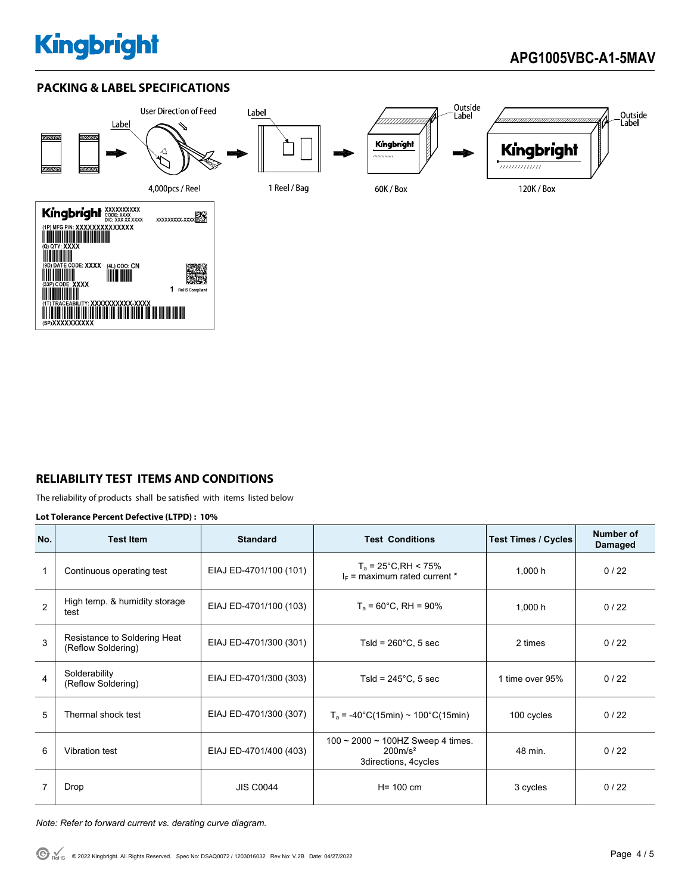## **PACKING & LABEL SPECIFICATIONS**



## **RELIABILITY TEST ITEMS AND CONDITIONS**

The reliability of products shall be satisfied with items listed below

#### **Lot Tolerance Percent Defective (LTPD) : 10%**

| No.            | <b>Test Item</b>                                   | <b>Standard</b>        | <b>Test Conditions</b>                                                  | <b>Test Times / Cycles</b> | Number of<br>Damaged |
|----------------|----------------------------------------------------|------------------------|-------------------------------------------------------------------------|----------------------------|----------------------|
|                | Continuous operating test                          | EIAJ ED-4701/100 (101) | $T_a = 25^{\circ}$ C, RH < 75%<br>$I_F$ = maximum rated current *       | 1.000h                     | 0/22                 |
| $\mathfrak{p}$ | High temp. & humidity storage<br>test              | EIAJ ED-4701/100 (103) | $T_a = 60^{\circ}$ C, RH = 90%                                          | 1,000 h                    | 0/22                 |
| 3              | Resistance to Soldering Heat<br>(Reflow Soldering) | EIAJ ED-4701/300 (301) | Tsld = $260^{\circ}$ C, 5 sec                                           | 2 times                    | 0/22                 |
| 4              | Solderability<br>(Reflow Soldering)                | EIAJ ED-4701/300 (303) | Tsld = $245^{\circ}$ C, 5 sec                                           | 1 time over 95%            | 0/22                 |
| 5              | Thermal shock test                                 | EIAJ ED-4701/300 (307) | $T_a$ = -40°C(15min) ~ 100°C(15min)                                     | 100 cycles                 | 0/22                 |
| 6              | Vibration test                                     | EIAJ ED-4701/400 (403) | 100 ~ 2000 ~ 100HZ Sweep 4 times.<br>$200m/s^2$<br>3directions, 4cycles | 48 min.                    | 0/22                 |
| 7              | Drop                                               | <b>JIS C0044</b>       | $H = 100$ cm                                                            | 3 cycles                   | 0/22                 |

*Note: Refer to forward current vs. derating curve diagram.*